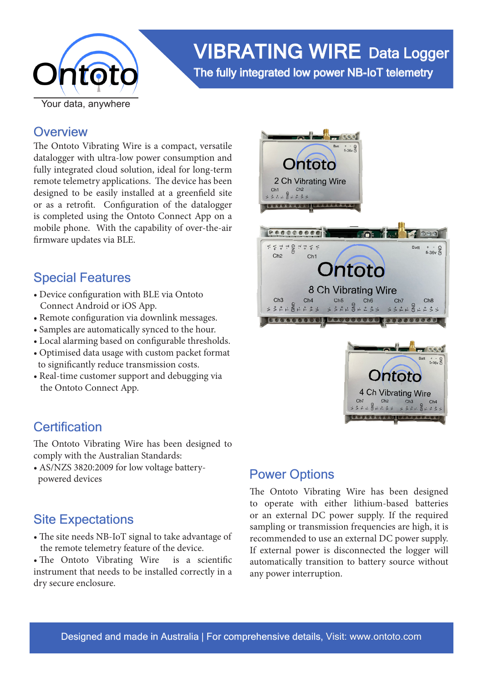

# VIBRATING WIRE Data Logger

The fully integrated low power NB-IoT telemetry

### **Overview**

The Ontoto Vibrating Wire is a compact, versatile datalogger with ultra-low power consumption and fully integrated cloud solution, ideal for long-term remote telemetry applications. The device has been designed to be easily installed at a greenfield site or as a retrofit. Configuration of the datalogger is completed using the Ontoto Connect App on a mobile phone. With the capability of over-the-air firmware updates via BLE.

## Special Features

- Device configuration with BLE via Ontoto Connect Android or iOS App.
- Remote configuration via downlink messages.
- Samples are automatically synced to the hour.
- Local alarming based on configurable thresholds.
- Optimised data usage with custom packet format to significantly reduce transmission costs.
- Real-time customer support and debugging via the Ontoto Connect App.

## **Certification**

The Ontoto Vibrating Wire has been designed to comply with the Australian Standards:

• AS/NZS 3820:2009 for low voltage battery powered devices

## Site Expectations

• The site needs NB-IoT signal to take advantage of the remote telemetry feature of the device.

• The Ontoto Vibrating Wire is a scientific instrument that needs to be installed correctly in a dry secure enclosure.



## Power Options

The Ontoto Vibrating Wire has been designed to operate with either lithium-based batteries or an external DC power supply. If the required sampling or transmission frequencies are high, it is recommended to use an external DC power supply. If external power is disconnected the logger will automatically transition to battery source without any power interruption.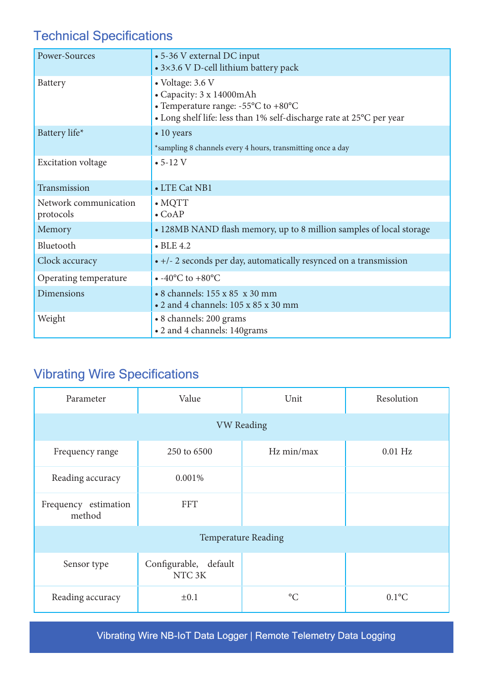## Technical Specifications

| Power-Sources                      | • 5-36 V external DC input<br>• 3×3.6 V D-cell lithium battery pack                                                                                                               |  |  |
|------------------------------------|-----------------------------------------------------------------------------------------------------------------------------------------------------------------------------------|--|--|
| Battery                            | • Voltage: 3.6 V<br>• Capacity: 3 x 14000mAh<br>• Temperature range: - $55^{\circ}$ C to +80 $^{\circ}$ C<br>• Long shelf life: less than 1% self-discharge rate at 25°C per year |  |  |
| Battery life*                      | $\bullet$ 10 years<br>*sampling 8 channels every 4 hours, transmitting once a day                                                                                                 |  |  |
| <b>Excitation voltage</b>          | $• 5-12 V$                                                                                                                                                                        |  |  |
| Transmission                       | • LTE Cat NB1                                                                                                                                                                     |  |  |
| Network communication<br>protocols | $\bullet$ MQTT<br>$\bullet$ CoAP                                                                                                                                                  |  |  |
| Memory                             | • 128MB NAND flash memory, up to 8 million samples of local storage                                                                                                               |  |  |
| Bluetooth                          | $\bullet$ BLE 4.2                                                                                                                                                                 |  |  |
| Clock accuracy                     | • +/- 2 seconds per day, automatically resynced on a transmission                                                                                                                 |  |  |
| Operating temperature              | $\bullet$ -40°C to +80°C                                                                                                                                                          |  |  |
| <b>Dimensions</b>                  | • 8 channels: 155 x 85 x 30 mm<br>$\bullet$ 2 and 4 channels: 105 x 85 x 30 mm                                                                                                    |  |  |
| Weight                             | • 8 channels: 200 grams<br>• 2 and 4 channels: 140grams                                                                                                                           |  |  |

## Vibrating Wire Specifications

| Parameter                      | Value                                       | Unit            | Resolution |  |
|--------------------------------|---------------------------------------------|-----------------|------------|--|
| <b>VW Reading</b>              |                                             |                 |            |  |
| Frequency range                | 250 to 6500                                 | Hz min/max      | $0.01$ Hz  |  |
| Reading accuracy               | 0.001%                                      |                 |            |  |
| Frequency estimation<br>method | <b>FFT</b>                                  |                 |            |  |
| <b>Temperature Reading</b>     |                                             |                 |            |  |
| Sensor type                    | Configurable, default<br>NTC <sub>3</sub> K |                 |            |  |
| Reading accuracy               | $\pm 0.1$                                   | $\rm ^{\circ}C$ | $0.1$ °C   |  |

Vibrating Wire NB-IoT Data Logger | Remote Telemetry Data Logging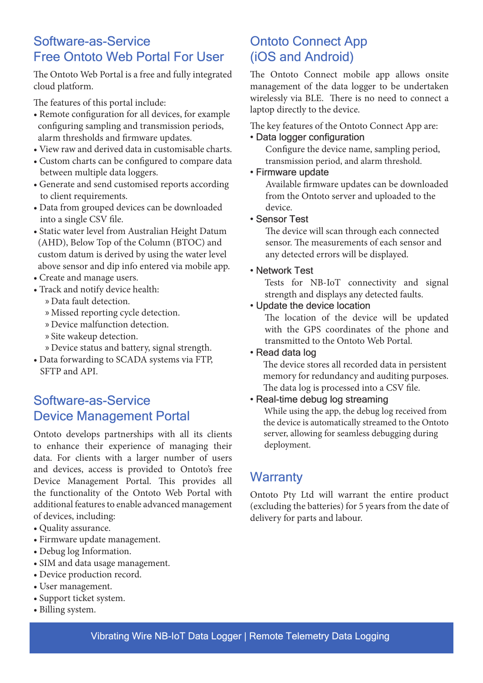## Software-as-Service Free Ontoto Web Portal For User

The Ontoto Web Portal is a free and fully integrated cloud platform.

The features of this portal include:

- Remote configuration for all devices, for example configuring sampling and transmission periods, alarm thresholds and firmware updates.
- View raw and derived data in customisable charts.
- Custom charts can be configured to compare data between multiple data loggers.
- Generate and send customised reports according to client requirements.
- Data from grouped devices can be downloaded into a single CSV file.
- Static water level from Australian Height Datum (AHD), Below Top of the Column (BTOC) and custom datum is derived by using the water level above sensor and dip info entered via mobile app.
- Create and manage users.
- Track and notify device health:
	- » Data fault detection.
	- » Missed reporting cycle detection.
	- » Device malfunction detection.
	- » Site wakeup detection.
	- » Device status and battery, signal strength.
- Data forwarding to SCADA systems via FTP, SFTP and API.

## Software-as-Service Device Management Portal

Ontoto develops partnerships with all its clients to enhance their experience of managing their data. For clients with a larger number of users and devices, access is provided to Ontoto's free Device Management Portal. This provides all the functionality of the Ontoto Web Portal with additional features to enable advanced management of devices, including:

- Quality assurance.
- Firmware update management.
- Debug log Information.
- SIM and data usage management.
- Device production record.
- User management.
- Support ticket system.
- Billing system.

## Ontoto Connect App (iOS and Android)

The Ontoto Connect mobile app allows onsite management of the data logger to be undertaken wirelessly via BLE. There is no need to connect a laptop directly to the device.

The key features of the Ontoto Connect App are:

#### • Data logger configuration

 Configure the device name, sampling period, transmission period, and alarm threshold.

#### • Firmware update

 Available firmware updates can be downloaded from the Ontoto server and uploaded to the device.

#### • Sensor Test

 The device will scan through each connected sensor. The measurements of each sensor and any detected errors will be displayed.

#### • Network Test

Tests for NB-IoT connectivity and signal strength and displays any detected faults.

#### • Update the device location

The location of the device will be updated with the GPS coordinates of the phone and transmitted to the Ontoto Web Portal.

#### • Read data log

 The device stores all recorded data in persistent memory for redundancy and auditing purposes. The data log is processed into a CSV file.

#### • Real-time debug log streaming

 While using the app, the debug log received from the device is automatically streamed to the Ontoto server, allowing for seamless debugging during deployment.

## **Warranty**

Ontoto Pty Ltd will warrant the entire product (excluding the batteries) for 5 years from the date of delivery for parts and labour.